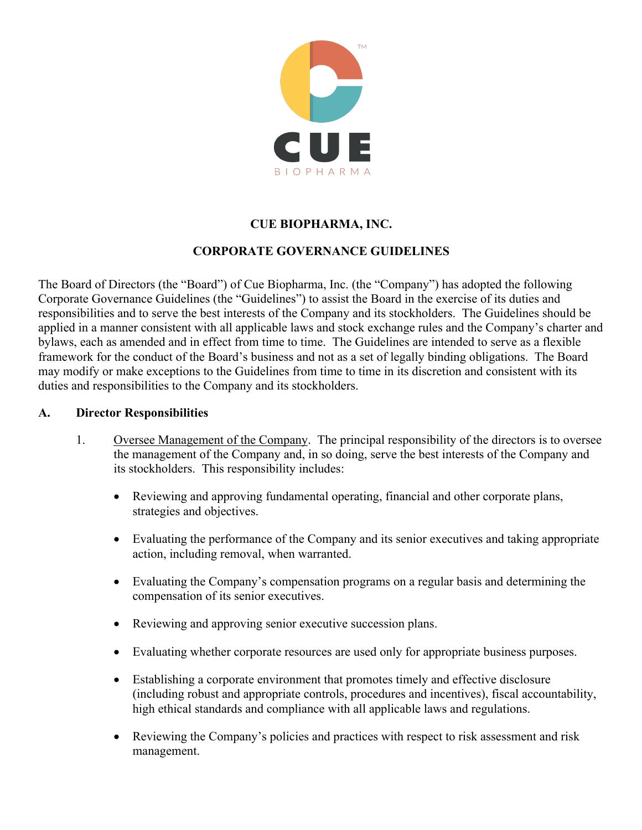

# **CUE BIOPHARMA, INC.**

## **CORPORATE GOVERNANCE GUIDELINES**

The Board of Directors (the "Board") of Cue Biopharma, Inc. (the "Company") has adopted the following Corporate Governance Guidelines (the "Guidelines") to assist the Board in the exercise of its duties and responsibilities and to serve the best interests of the Company and its stockholders. The Guidelines should be applied in a manner consistent with all applicable laws and stock exchange rules and the Company's charter and bylaws, each as amended and in effect from time to time. The Guidelines are intended to serve as a flexible framework for the conduct of the Board's business and not as a set of legally binding obligations. The Board may modify or make exceptions to the Guidelines from time to time in its discretion and consistent with its duties and responsibilities to the Company and its stockholders.

#### **A. Director Responsibilities**

- 1. Oversee Management of the Company. The principal responsibility of the directors is to oversee the management of the Company and, in so doing, serve the best interests of the Company and its stockholders. This responsibility includes:
	- Reviewing and approving fundamental operating, financial and other corporate plans, strategies and objectives.
	- Evaluating the performance of the Company and its senior executives and taking appropriate action, including removal, when warranted.
	- Evaluating the Company's compensation programs on a regular basis and determining the compensation of its senior executives.
	- Reviewing and approving senior executive succession plans.
	- Evaluating whether corporate resources are used only for appropriate business purposes.
	- Establishing a corporate environment that promotes timely and effective disclosure (including robust and appropriate controls, procedures and incentives), fiscal accountability, high ethical standards and compliance with all applicable laws and regulations.
	- Reviewing the Company's policies and practices with respect to risk assessment and risk management.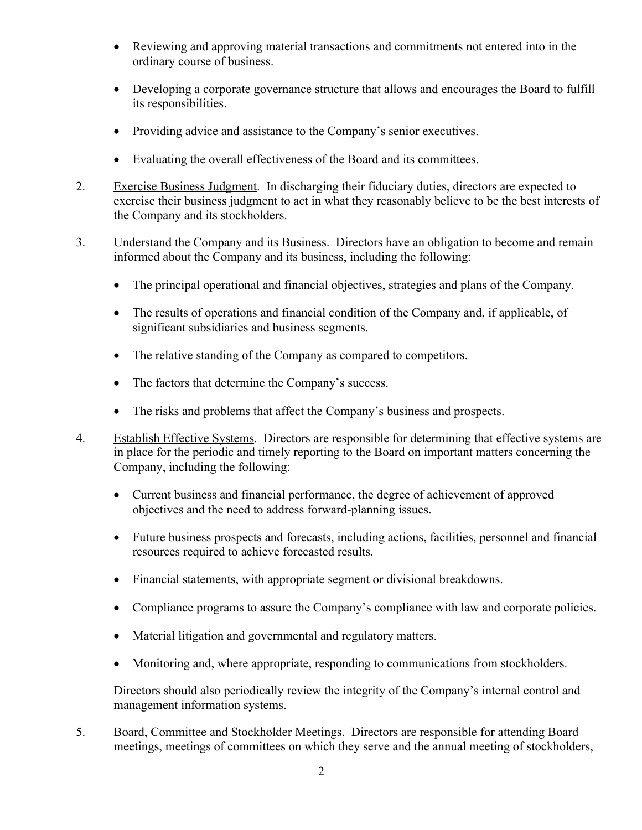- Reviewing and approving material transactions and commitments not entered into in the ordinary course of business.
- Developing a corporate governance structure that allows and encourages the Board to fulfill its responsibilities.
- Providing advice and assistance to the Company's senior executives.
- Evaluating the overall effectiveness of the Board and its committees.
- 2. Exercise Business Judgment. In discharging their fiduciary duties, directors are expected to exercise their business judgment to act in what they reasonably believe to be the best interests of the Company and its stockholders.
- 3. Understand the Company and its Business. Directors have an obligation to become and remain informed about the Company and its business, including the following:
	- The principal operational and financial objectives, strategies and plans of the Company.
	- The results of operations and financial condition of the Company and, if applicable, of significant subsidiaries and business segments.
	- The relative standing of the Company as compared to competitors.
	- The factors that determine the Company's success.
	- The risks and problems that affect the Company's business and prospects.
- 4. Establish Effective Systems. Directors are responsible for determining that effective systems are in place for the periodic and timely reporting to the Board on important matters concerning the Company, including the following:
	- Current business and financial performance, the degree of achievement of approved objectives and the need to address forward-planning issues.
	- Future business prospects and forecasts, including actions, facilities, personnel and financial resources required to achieve forecasted results.
	- Financial statements, with appropriate segment or divisional breakdowns.
	- Compliance programs to assure the Company's compliance with law and corporate policies.
	- Material litigation and governmental and regulatory matters.
	- Monitoring and, where appropriate, responding to communications from stockholders.

Directors should also periodically review the integrity of the Company's internal control and management information systems.

5. Board, Committee and Stockholder Meetings. Directors are responsible for attending Board meetings, meetings of committees on which they serve and the annual meeting of stockholders,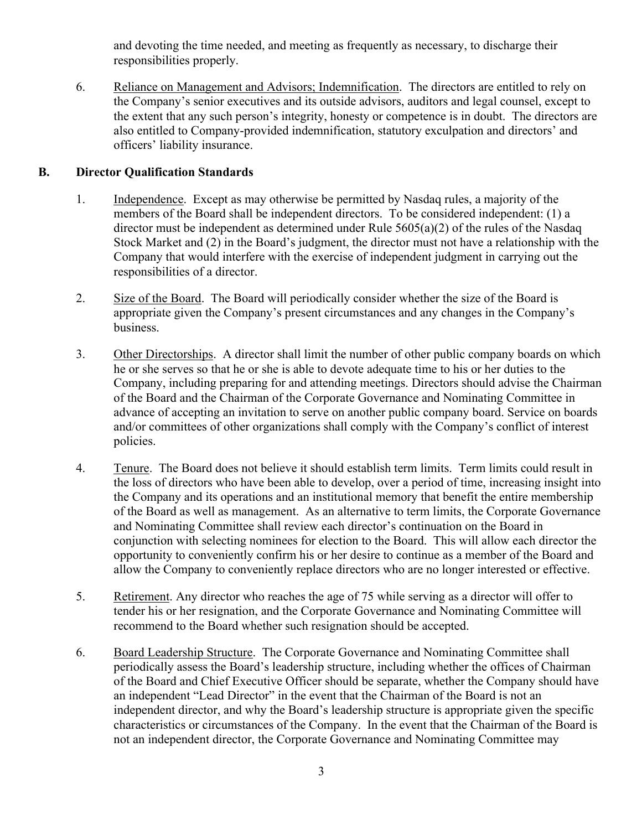and devoting the time needed, and meeting as frequently as necessary, to discharge their responsibilities properly.

6. Reliance on Management and Advisors; Indemnification. The directors are entitled to rely on the Company's senior executives and its outside advisors, auditors and legal counsel, except to the extent that any such person's integrity, honesty or competence is in doubt. The directors are also entitled to Company-provided indemnification, statutory exculpation and directors' and officers' liability insurance.

### **B. Director Qualification Standards**

- 1. Independence. Except as may otherwise be permitted by Nasdaq rules, a majority of the members of the Board shall be independent directors. To be considered independent: (1) a director must be independent as determined under Rule 5605(a)(2) of the rules of the Nasdaq Stock Market and (2) in the Board's judgment, the director must not have a relationship with the Company that would interfere with the exercise of independent judgment in carrying out the responsibilities of a director.
- 2. Size of the Board. The Board will periodically consider whether the size of the Board is appropriate given the Company's present circumstances and any changes in the Company's business.
- 3. Other Directorships. A director shall limit the number of other public company boards on which he or she serves so that he or she is able to devote adequate time to his or her duties to the Company, including preparing for and attending meetings. Directors should advise the Chairman of the Board and the Chairman of the Corporate Governance and Nominating Committee in advance of accepting an invitation to serve on another public company board. Service on boards and/or committees of other organizations shall comply with the Company's conflict of interest policies.
- 4. Tenure. The Board does not believe it should establish term limits. Term limits could result in the loss of directors who have been able to develop, over a period of time, increasing insight into the Company and its operations and an institutional memory that benefit the entire membership of the Board as well as management. As an alternative to term limits, the Corporate Governance and Nominating Committee shall review each director's continuation on the Board in conjunction with selecting nominees for election to the Board. This will allow each director the opportunity to conveniently confirm his or her desire to continue as a member of the Board and allow the Company to conveniently replace directors who are no longer interested or effective.
- 5. Retirement. Any director who reaches the age of 75 while serving as a director will offer to tender his or her resignation, and the Corporate Governance and Nominating Committee will recommend to the Board whether such resignation should be accepted.
- 6. Board Leadership Structure. The Corporate Governance and Nominating Committee shall periodically assess the Board's leadership structure, including whether the offices of Chairman of the Board and Chief Executive Officer should be separate, whether the Company should have an independent "Lead Director" in the event that the Chairman of the Board is not an independent director, and why the Board's leadership structure is appropriate given the specific characteristics or circumstances of the Company. In the event that the Chairman of the Board is not an independent director, the Corporate Governance and Nominating Committee may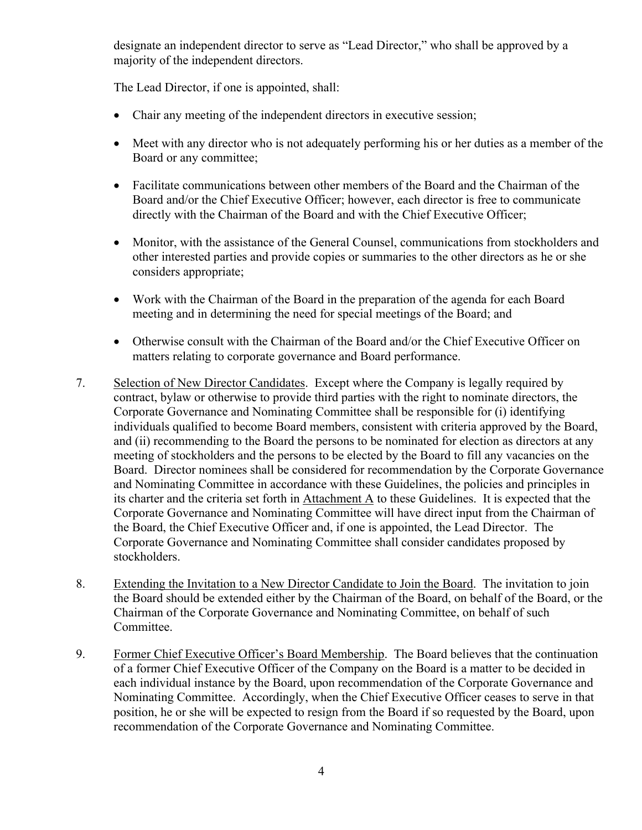designate an independent director to serve as "Lead Director," who shall be approved by a majority of the independent directors.

The Lead Director, if one is appointed, shall:

- Chair any meeting of the independent directors in executive session;
- Meet with any director who is not adequately performing his or her duties as a member of the Board or any committee;
- Facilitate communications between other members of the Board and the Chairman of the Board and/or the Chief Executive Officer; however, each director is free to communicate directly with the Chairman of the Board and with the Chief Executive Officer;
- Monitor, with the assistance of the General Counsel, communications from stockholders and other interested parties and provide copies or summaries to the other directors as he or she considers appropriate;
- Work with the Chairman of the Board in the preparation of the agenda for each Board meeting and in determining the need for special meetings of the Board; and
- Otherwise consult with the Chairman of the Board and/or the Chief Executive Officer on matters relating to corporate governance and Board performance.
- 7. Selection of New Director Candidates. Except where the Company is legally required by contract, bylaw or otherwise to provide third parties with the right to nominate directors, the Corporate Governance and Nominating Committee shall be responsible for (i) identifying individuals qualified to become Board members, consistent with criteria approved by the Board, and (ii) recommending to the Board the persons to be nominated for election as directors at any meeting of stockholders and the persons to be elected by the Board to fill any vacancies on the Board. Director nominees shall be considered for recommendation by the Corporate Governance and Nominating Committee in accordance with these Guidelines, the policies and principles in its charter and the criteria set forth in Attachment A to these Guidelines. It is expected that the Corporate Governance and Nominating Committee will have direct input from the Chairman of the Board, the Chief Executive Officer and, if one is appointed, the Lead Director. The Corporate Governance and Nominating Committee shall consider candidates proposed by stockholders.
- 8. Extending the Invitation to a New Director Candidate to Join the Board. The invitation to join the Board should be extended either by the Chairman of the Board, on behalf of the Board, or the Chairman of the Corporate Governance and Nominating Committee, on behalf of such Committee.
- 9. Former Chief Executive Officer's Board Membership. The Board believes that the continuation of a former Chief Executive Officer of the Company on the Board is a matter to be decided in each individual instance by the Board, upon recommendation of the Corporate Governance and Nominating Committee. Accordingly, when the Chief Executive Officer ceases to serve in that position, he or she will be expected to resign from the Board if so requested by the Board, upon recommendation of the Corporate Governance and Nominating Committee.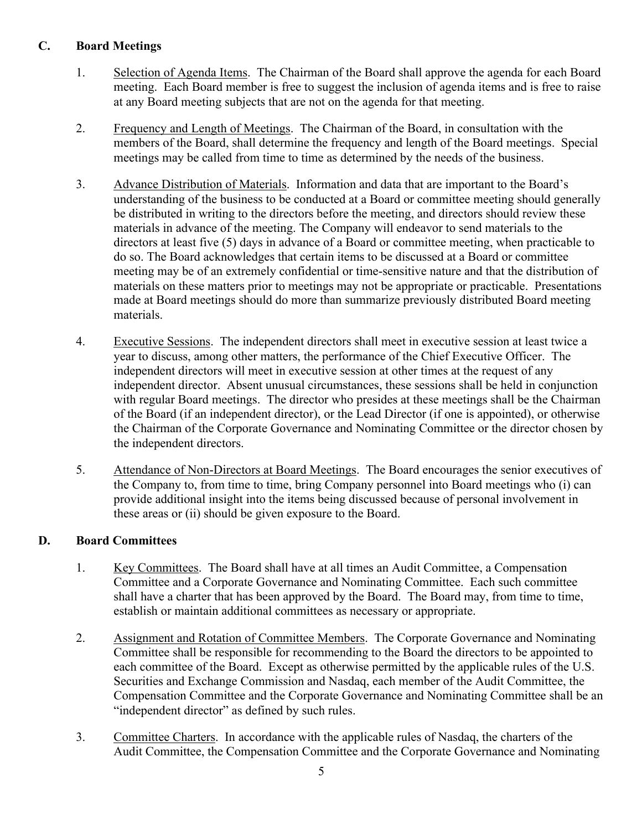## **C. Board Meetings**

- 1. Selection of Agenda Items. The Chairman of the Board shall approve the agenda for each Board meeting. Each Board member is free to suggest the inclusion of agenda items and is free to raise at any Board meeting subjects that are not on the agenda for that meeting.
- 2. Frequency and Length of Meetings. The Chairman of the Board, in consultation with the members of the Board, shall determine the frequency and length of the Board meetings. Special meetings may be called from time to time as determined by the needs of the business.
- 3. Advance Distribution of Materials. Information and data that are important to the Board's understanding of the business to be conducted at a Board or committee meeting should generally be distributed in writing to the directors before the meeting, and directors should review these materials in advance of the meeting. The Company will endeavor to send materials to the directors at least five (5) days in advance of a Board or committee meeting, when practicable to do so. The Board acknowledges that certain items to be discussed at a Board or committee meeting may be of an extremely confidential or time-sensitive nature and that the distribution of materials on these matters prior to meetings may not be appropriate or practicable. Presentations made at Board meetings should do more than summarize previously distributed Board meeting materials.
- 4. Executive Sessions. The independent directors shall meet in executive session at least twice a year to discuss, among other matters, the performance of the Chief Executive Officer. The independent directors will meet in executive session at other times at the request of any independent director. Absent unusual circumstances, these sessions shall be held in conjunction with regular Board meetings. The director who presides at these meetings shall be the Chairman of the Board (if an independent director), or the Lead Director (if one is appointed), or otherwise the Chairman of the Corporate Governance and Nominating Committee or the director chosen by the independent directors.
- 5. Attendance of Non-Directors at Board Meetings. The Board encourages the senior executives of the Company to, from time to time, bring Company personnel into Board meetings who (i) can provide additional insight into the items being discussed because of personal involvement in these areas or (ii) should be given exposure to the Board.

## **D. Board Committees**

- 1. Key Committees. The Board shall have at all times an Audit Committee, a Compensation Committee and a Corporate Governance and Nominating Committee. Each such committee shall have a charter that has been approved by the Board. The Board may, from time to time, establish or maintain additional committees as necessary or appropriate.
- 2. Assignment and Rotation of Committee Members. The Corporate Governance and Nominating Committee shall be responsible for recommending to the Board the directors to be appointed to each committee of the Board. Except as otherwise permitted by the applicable rules of the U.S. Securities and Exchange Commission and Nasdaq, each member of the Audit Committee, the Compensation Committee and the Corporate Governance and Nominating Committee shall be an "independent director" as defined by such rules.
- 3. Committee Charters. In accordance with the applicable rules of Nasdaq, the charters of the Audit Committee, the Compensation Committee and the Corporate Governance and Nominating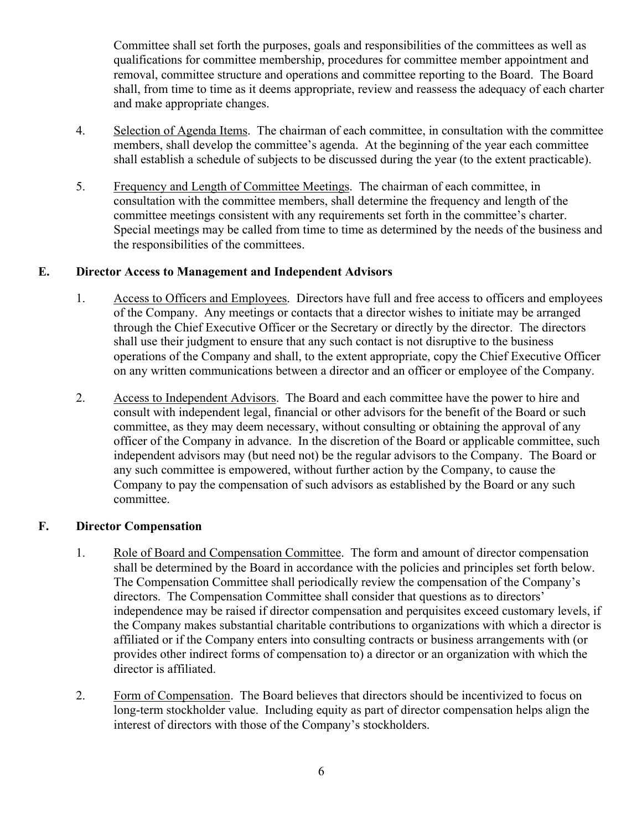Committee shall set forth the purposes, goals and responsibilities of the committees as well as qualifications for committee membership, procedures for committee member appointment and removal, committee structure and operations and committee reporting to the Board. The Board shall, from time to time as it deems appropriate, review and reassess the adequacy of each charter and make appropriate changes.

- 4. Selection of Agenda Items. The chairman of each committee, in consultation with the committee members, shall develop the committee's agenda. At the beginning of the year each committee shall establish a schedule of subjects to be discussed during the year (to the extent practicable).
- 5. Frequency and Length of Committee Meetings. The chairman of each committee, in consultation with the committee members, shall determine the frequency and length of the committee meetings consistent with any requirements set forth in the committee's charter. Special meetings may be called from time to time as determined by the needs of the business and the responsibilities of the committees.

#### **E. Director Access to Management and Independent Advisors**

- 1. Access to Officers and Employees. Directors have full and free access to officers and employees of the Company. Any meetings or contacts that a director wishes to initiate may be arranged through the Chief Executive Officer or the Secretary or directly by the director. The directors shall use their judgment to ensure that any such contact is not disruptive to the business operations of the Company and shall, to the extent appropriate, copy the Chief Executive Officer on any written communications between a director and an officer or employee of the Company.
- 2. Access to Independent Advisors. The Board and each committee have the power to hire and consult with independent legal, financial or other advisors for the benefit of the Board or such committee, as they may deem necessary, without consulting or obtaining the approval of any officer of the Company in advance. In the discretion of the Board or applicable committee, such independent advisors may (but need not) be the regular advisors to the Company. The Board or any such committee is empowered, without further action by the Company, to cause the Company to pay the compensation of such advisors as established by the Board or any such committee.

#### **F. Director Compensation**

- 1. Role of Board and Compensation Committee. The form and amount of director compensation shall be determined by the Board in accordance with the policies and principles set forth below. The Compensation Committee shall periodically review the compensation of the Company's directors. The Compensation Committee shall consider that questions as to directors' independence may be raised if director compensation and perquisites exceed customary levels, if the Company makes substantial charitable contributions to organizations with which a director is affiliated or if the Company enters into consulting contracts or business arrangements with (or provides other indirect forms of compensation to) a director or an organization with which the director is affiliated.
- 2. Form of Compensation. The Board believes that directors should be incentivized to focus on long-term stockholder value. Including equity as part of director compensation helps align the interest of directors with those of the Company's stockholders.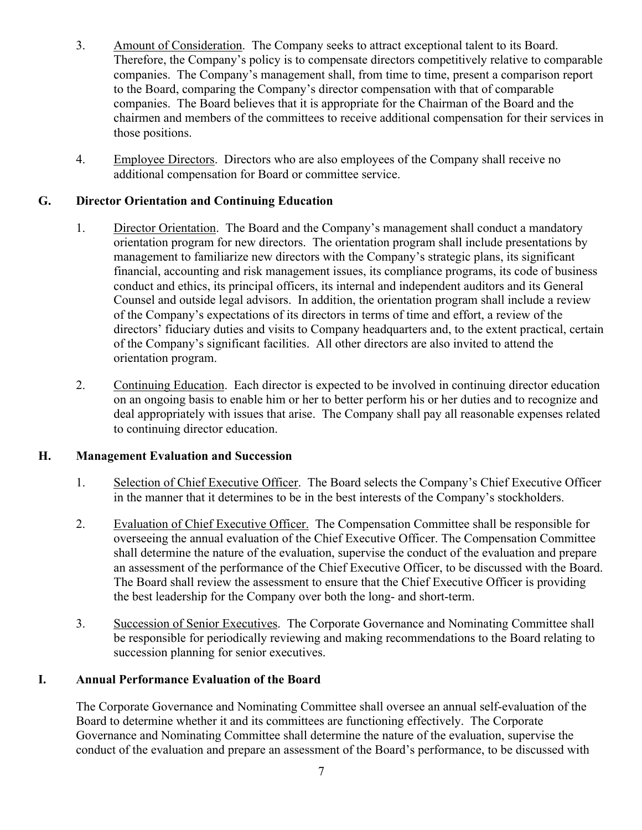- 3. Amount of Consideration. The Company seeks to attract exceptional talent to its Board. Therefore, the Company's policy is to compensate directors competitively relative to comparable companies. The Company's management shall, from time to time, present a comparison report to the Board, comparing the Company's director compensation with that of comparable companies. The Board believes that it is appropriate for the Chairman of the Board and the chairmen and members of the committees to receive additional compensation for their services in those positions.
- 4. Employee Directors. Directors who are also employees of the Company shall receive no additional compensation for Board or committee service.

### **G. Director Orientation and Continuing Education**

- 1. Director Orientation. The Board and the Company's management shall conduct a mandatory orientation program for new directors. The orientation program shall include presentations by management to familiarize new directors with the Company's strategic plans, its significant financial, accounting and risk management issues, its compliance programs, its code of business conduct and ethics, its principal officers, its internal and independent auditors and its General Counsel and outside legal advisors. In addition, the orientation program shall include a review of the Company's expectations of its directors in terms of time and effort, a review of the directors' fiduciary duties and visits to Company headquarters and, to the extent practical, certain of the Company's significant facilities. All other directors are also invited to attend the orientation program.
- 2. Continuing Education. Each director is expected to be involved in continuing director education on an ongoing basis to enable him or her to better perform his or her duties and to recognize and deal appropriately with issues that arise. The Company shall pay all reasonable expenses related to continuing director education.

### **H. Management Evaluation and Succession**

- 1. Selection of Chief Executive Officer. The Board selects the Company's Chief Executive Officer in the manner that it determines to be in the best interests of the Company's stockholders.
- 2. Evaluation of Chief Executive Officer. The Compensation Committee shall be responsible for overseeing the annual evaluation of the Chief Executive Officer. The Compensation Committee shall determine the nature of the evaluation, supervise the conduct of the evaluation and prepare an assessment of the performance of the Chief Executive Officer, to be discussed with the Board. The Board shall review the assessment to ensure that the Chief Executive Officer is providing the best leadership for the Company over both the long- and short-term.
- 3. Succession of Senior Executives. The Corporate Governance and Nominating Committee shall be responsible for periodically reviewing and making recommendations to the Board relating to succession planning for senior executives.

### **I. Annual Performance Evaluation of the Board**

The Corporate Governance and Nominating Committee shall oversee an annual self-evaluation of the Board to determine whether it and its committees are functioning effectively. The Corporate Governance and Nominating Committee shall determine the nature of the evaluation, supervise the conduct of the evaluation and prepare an assessment of the Board's performance, to be discussed with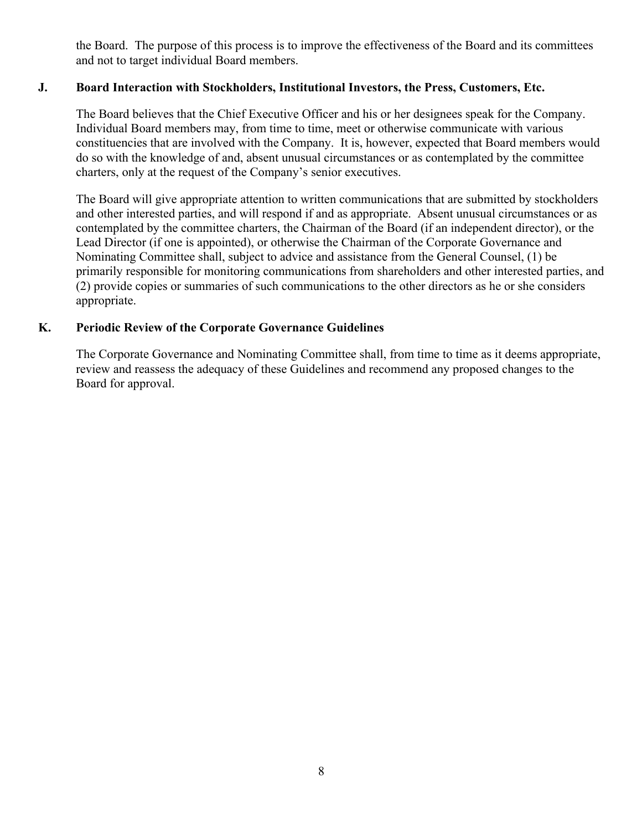the Board. The purpose of this process is to improve the effectiveness of the Board and its committees and not to target individual Board members.

### **J. Board Interaction with Stockholders, Institutional Investors, the Press, Customers, Etc.**

The Board believes that the Chief Executive Officer and his or her designees speak for the Company. Individual Board members may, from time to time, meet or otherwise communicate with various constituencies that are involved with the Company. It is, however, expected that Board members would do so with the knowledge of and, absent unusual circumstances or as contemplated by the committee charters, only at the request of the Company's senior executives.

The Board will give appropriate attention to written communications that are submitted by stockholders and other interested parties, and will respond if and as appropriate. Absent unusual circumstances or as contemplated by the committee charters, the Chairman of the Board (if an independent director), or the Lead Director (if one is appointed), or otherwise the Chairman of the Corporate Governance and Nominating Committee shall, subject to advice and assistance from the General Counsel, (1) be primarily responsible for monitoring communications from shareholders and other interested parties, and (2) provide copies or summaries of such communications to the other directors as he or she considers appropriate.

### **K. Periodic Review of the Corporate Governance Guidelines**

The Corporate Governance and Nominating Committee shall, from time to time as it deems appropriate, review and reassess the adequacy of these Guidelines and recommend any proposed changes to the Board for approval.